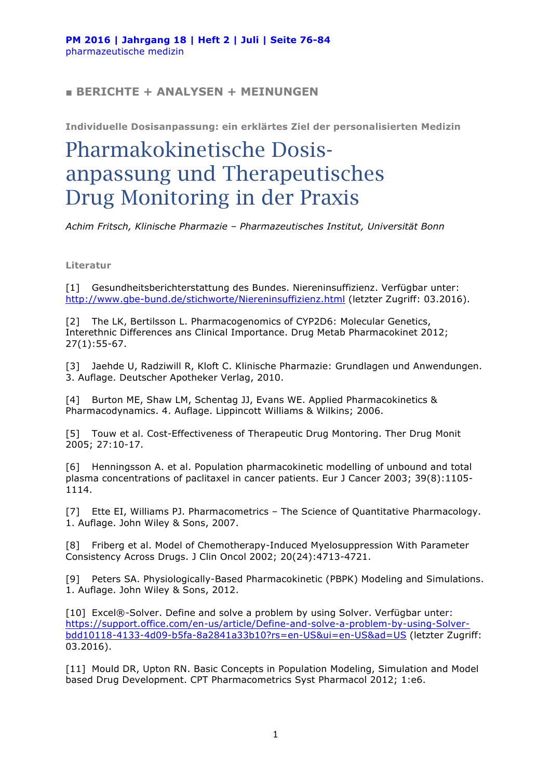## **■ BERICHTE + ANALYSEN + MEINUNGEN**

**Individuelle Dosisanpassung: ein erklärtes Ziel der personalisierten Medizin**

## Pharmakokinetische Dosisanpassung und Therapeutisches Drug Monitoring in der Praxis

*Achim Fritsch, Klinische Pharmazie – Pharmazeutisches Institut, Universität Bonn*

**Literatur**

[1] Gesundheitsberichterstattung des Bundes. Niereninsuffizienz. Verfügbar unter: http://www.gbe-bund.de/stichworte/Niereninsuffizienz.html (letzter Zugriff: 03.2016).

[2] The LK, Bertilsson L. Pharmacogenomics of CYP2D6: Molecular Genetics, Interethnic Differences ans Clinical Importance. Drug Metab Pharmacokinet 2012; 27(1):55-67.

[3] Jaehde U, Radziwill R, Kloft C. Klinische Pharmazie: Grundlagen und Anwendungen. 3. Auflage. Deutscher Apotheker Verlag, 2010.

[4] Burton ME, Shaw LM, Schentag JJ, Evans WE. Applied Pharmacokinetics & Pharmacodynamics. 4. Auflage. Lippincott Williams & Wilkins; 2006.

[5] Touw et al. Cost-Effectiveness of Therapeutic Drug Montoring. Ther Drug Monit 2005; 27:10-17.

[6] Henningsson A. et al. Population pharmacokinetic modelling of unbound and total plasma concentrations of paclitaxel in cancer patients. Eur J Cancer 2003; 39(8):1105- 1114.

[7] Ette EI, Williams PJ. Pharmacometrics – The Science of Quantitative Pharmacology. 1. Auflage. John Wiley & Sons, 2007.

[8] Friberg et al. Model of Chemotherapy-Induced Myelosuppression With Parameter Consistency Across Drugs. J Clin Oncol 2002; 20(24):4713-4721.

[9] Peters SA. Physiologically-Based Pharmacokinetic (PBPK) Modeling and Simulations. 1. Auflage. John Wiley & Sons, 2012.

[10] Excel®-Solver. Define and solve a problem by using Solver. Verfügbar unter: https://support.office.com/en-us/article/Define-and-solve-a-problem-by-using-Solverbdd10118-4133-4d09-b5fa-8a2841a33b10?rs=en-US&ui=en-US&ad=US (letzter Zugriff: 03.2016).

[11] Mould DR, Upton RN. Basic Concepts in Population Modeling, Simulation and Model based Drug Development. CPT Pharmacometrics Syst Pharmacol 2012; 1:e6.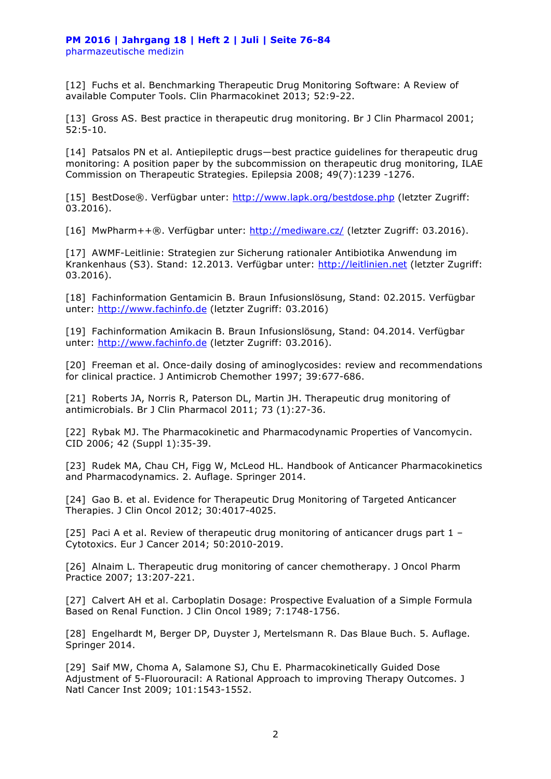[12] Fuchs et al. Benchmarking Therapeutic Drug Monitoring Software: A Review of available Computer Tools. Clin Pharmacokinet 2013; 52:9-22.

[13] Gross AS. Best practice in therapeutic drug monitoring. Br J Clin Pharmacol 2001; 52:5-10.

[14] Patsalos PN et al. Antiepileptic drugs—best practice guidelines for therapeutic drug monitoring: A position paper by the subcommission on therapeutic drug monitoring, ILAE Commission on Therapeutic Strategies. Epilepsia 2008; 49(7):1239 -1276.

[15] BestDose®. Verfügbar unter: http://www.lapk.org/bestdose.php (letzter Zugriff: 03.2016).

[16] MwPharm++®. Verfügbar unter: http://mediware.cz/ (letzter Zugriff: 03.2016).

[17] AWMF-Leitlinie: Strategien zur Sicherung rationaler Antibiotika Anwendung im Krankenhaus (S3). Stand: 12.2013. Verfügbar unter: http://leitlinien.net (letzter Zugriff: 03.2016).

[18] Fachinformation Gentamicin B. Braun Infusionslösung, Stand: 02.2015. Verfügbar unter: http://www.fachinfo.de (letzter Zugriff: 03.2016)

[19] Fachinformation Amikacin B. Braun Infusionslösung, Stand: 04.2014. Verfügbar unter: http://www.fachinfo.de (letzter Zugriff: 03.2016).

[20] Freeman et al. Once-daily dosing of aminoglycosides: review and recommendations for clinical practice. J Antimicrob Chemother 1997; 39:677-686.

[21] Roberts JA, Norris R, Paterson DL, Martin JH. Therapeutic drug monitoring of antimicrobials. Br J Clin Pharmacol 2011; 73 (1):27-36.

[22] Rybak MJ. The Pharmacokinetic and Pharmacodynamic Properties of Vancomycin. CID 2006; 42 (Suppl 1):35-39.

[23] Rudek MA, Chau CH, Figg W, McLeod HL. Handbook of Anticancer Pharmacokinetics and Pharmacodynamics. 2. Auflage. Springer 2014.

[24] Gao B. et al. Evidence for Therapeutic Drug Monitoring of Targeted Anticancer Therapies. J Clin Oncol 2012; 30:4017-4025.

[25] Paci A et al. Review of therapeutic drug monitoring of anticancer drugs part  $1 -$ Cytotoxics. Eur J Cancer 2014; 50:2010-2019.

[26] Alnaim L. Therapeutic drug monitoring of cancer chemotherapy. J Oncol Pharm Practice 2007; 13:207-221.

[27] Calvert AH et al. Carboplatin Dosage: Prospective Evaluation of a Simple Formula Based on Renal Function. J Clin Oncol 1989; 7:1748-1756.

[28] Engelhardt M, Berger DP, Duyster J, Mertelsmann R. Das Blaue Buch. 5. Auflage. Springer 2014.

[29] Saif MW, Choma A, Salamone SJ, Chu E. Pharmacokinetically Guided Dose Adjustment of 5-Fluorouracil: A Rational Approach to improving Therapy Outcomes. J Natl Cancer Inst 2009; 101:1543-1552.